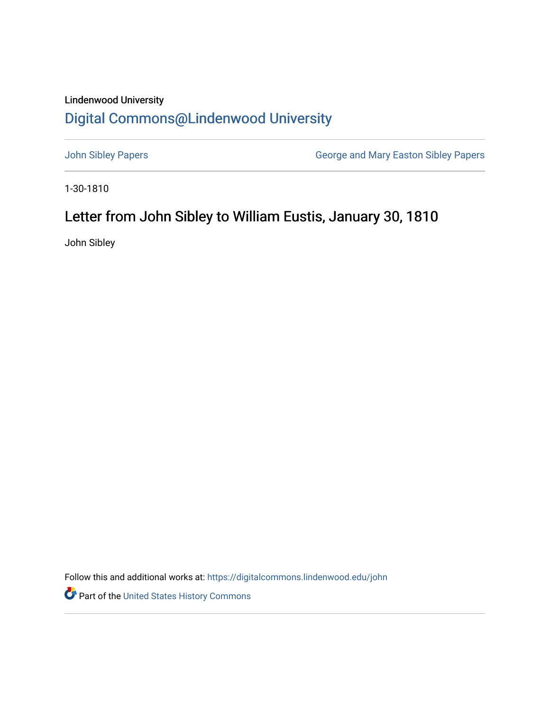## Lindenwood University

## [Digital Commons@Lindenwood University](https://digitalcommons.lindenwood.edu/)

[John Sibley Papers](https://digitalcommons.lindenwood.edu/john) [George and Mary Easton Sibley Papers](https://digitalcommons.lindenwood.edu/sibley) 

1-30-1810

## Letter from John Sibley to William Eustis, January 30, 1810

John Sibley

Follow this and additional works at: [https://digitalcommons.lindenwood.edu/john](https://digitalcommons.lindenwood.edu/john?utm_source=digitalcommons.lindenwood.edu%2Fjohn%2F6&utm_medium=PDF&utm_campaign=PDFCoverPages) 

Part of the [United States History Commons](http://network.bepress.com/hgg/discipline/495?utm_source=digitalcommons.lindenwood.edu%2Fjohn%2F6&utm_medium=PDF&utm_campaign=PDFCoverPages)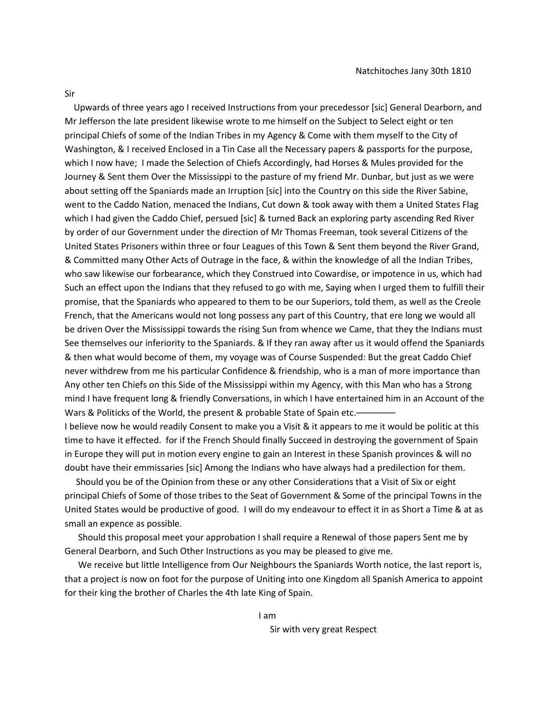Sir

 Upwards of three years ago I received Instructions from your precedessor [sic] General Dearborn, and Mr Jefferson the late president likewise wrote to me himself on the Subject to Select eight or ten principal Chiefs of some of the Indian Tribes in my Agency & Come with them myself to the City of Washington, & I received Enclosed in a Tin Case all the Necessary papers & passports for the purpose, which I now have; I made the Selection of Chiefs Accordingly, had Horses & Mules provided for the Journey & Sent them Over the Mississippi to the pasture of my friend Mr. Dunbar, but just as we were about setting off the Spaniards made an Irruption [sic] into the Country on this side the River Sabine, went to the Caddo Nation, menaced the Indians, Cut down & took away with them a United States Flag which I had given the Caddo Chief, persued [sic] & turned Back an exploring party ascending Red River by order of our Government under the direction of Mr Thomas Freeman, took several Citizens of the United States Prisoners within three or four Leagues of this Town & Sent them beyond the River Grand, & Committed many Other Acts of Outrage in the face, & within the knowledge of all the Indian Tribes, who saw likewise our forbearance, which they Construed into Cowardise, or impotence in us, which had Such an effect upon the Indians that they refused to go with me, Saying when I urged them to fulfill their promise, that the Spaniards who appeared to them to be our Superiors, told them, as well as the Creole French, that the Americans would not long possess any part of this Country, that ere long we would all be driven Over the Mississippi towards the rising Sun from whence we Came, that they the Indians must See themselves our inferiority to the Spaniards. & If they ran away after us it would offend the Spaniards & then what would become of them, my voyage was of Course Suspended: But the great Caddo Chief never withdrew from me his particular Confidence & friendship, who is a man of more importance than Any other ten Chiefs on this Side of the Mississippi within my Agency, with this Man who has a Strong mind I have frequent long & friendly Conversations, in which I have entertained him in an Account of the Wars & Politicks of the World, the present & probable State of Spain etc.–

I believe now he would readily Consent to make you a Visit & it appears to me it would be politic at this time to have it effected. for if the French Should finally Succeed in destroying the government of Spain in Europe they will put in motion every engine to gain an Interest in these Spanish provinces & will no doubt have their emmissaries [sic] Among the Indians who have always had a predilection for them.

 Should you be of the Opinion from these or any other Considerations that a Visit of Six or eight principal Chiefs of Some of those tribes to the Seat of Government & Some of the principal Towns in the United States would be productive of good. I will do my endeavour to effect it in as Short a Time & at as small an expence as possible.

 Should this proposal meet your approbation I shall require a Renewal of those papers Sent me by General Dearborn, and Such Other Instructions as you may be pleased to give me.

We receive but little Intelligence from Our Neighbours the Spaniards Worth notice, the last report is, that a project is now on foot for the purpose of Uniting into one Kingdom all Spanish America to appoint for their king the brother of Charles the 4th late King of Spain.

I am

Sir with very great Respect